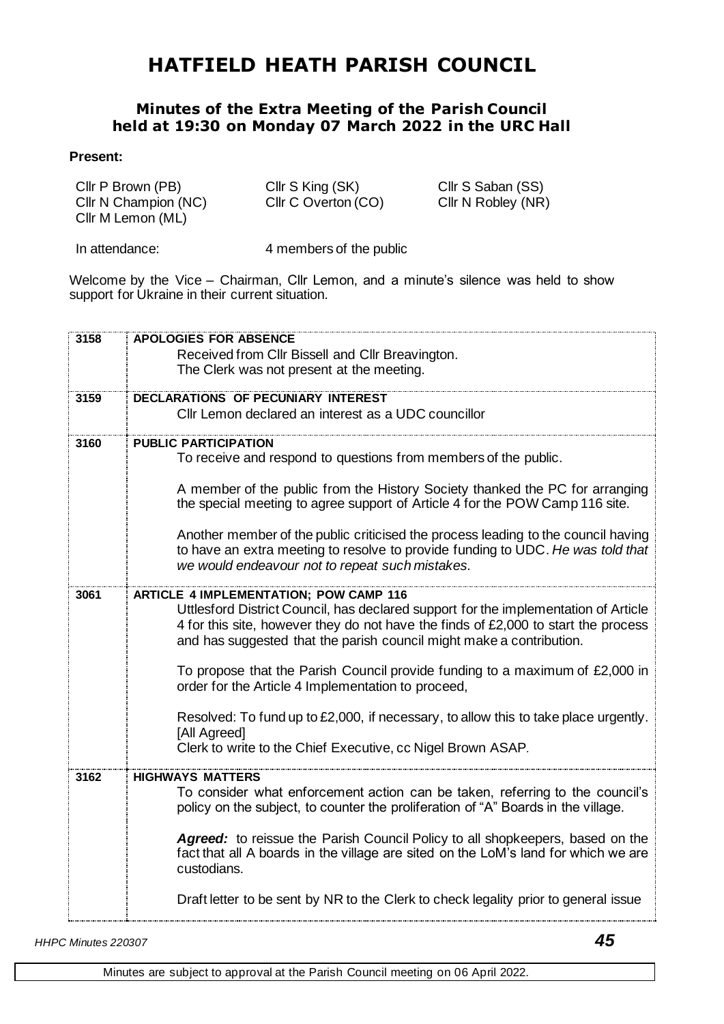## **HATFIELD HEATH PARISH COUNCIL**

## **Minutes of the Extra Meeting of the Parish Council held at 19:30 on Monday 07 March 2022 in the URC Hall**

## **Present:**

| Cllr P Brown (PB)    | Cllr S King (SK)    | Cllr S Saban (SS)  |
|----------------------|---------------------|--------------------|
| Cllr N Champion (NC) | Cllr C Overton (CO) | Cllr N Robley (NR) |
| Cllr M Lemon (ML)    |                     |                    |

In attendance: 4 members of the public

Welcome by the Vice – Chairman, Cllr Lemon, and a minute's silence was held to show support for Ukraine in their current situation.

| 3158 | <b>APOLOGIES FOR ABSENCE</b>                                                        |  |
|------|-------------------------------------------------------------------------------------|--|
|      | Received from Cllr Bissell and Cllr Breavington.                                    |  |
|      | The Clerk was not present at the meeting.                                           |  |
|      |                                                                                     |  |
| 3159 | <b>DECLARATIONS OF PECUNIARY INTEREST</b>                                           |  |
|      | Cllr Lemon declared an interest as a UDC councillor                                 |  |
| 3160 | <b>PUBLIC PARTICIPATION</b>                                                         |  |
|      | To receive and respond to questions from members of the public.                     |  |
|      |                                                                                     |  |
|      | A member of the public from the History Society thanked the PC for arranging        |  |
|      | the special meeting to agree support of Article 4 for the POW Camp 116 site.        |  |
|      | Another member of the public criticised the process leading to the council having   |  |
|      | to have an extra meeting to resolve to provide funding to UDC. He was told that     |  |
|      | we would endeavour not to repeat such mistakes.                                     |  |
|      |                                                                                     |  |
| 3061 | <b>ARTICLE 4 IMPLEMENTATION; POW CAMP 116</b>                                       |  |
|      | Uttlesford District Council, has declared support for the implementation of Article |  |
|      | 4 for this site, however they do not have the finds of £2,000 to start the process  |  |
|      | and has suggested that the parish council might make a contribution.                |  |
|      | To propose that the Parish Council provide funding to a maximum of £2,000 in        |  |
|      | order for the Article 4 Implementation to proceed,                                  |  |
|      |                                                                                     |  |
|      | Resolved: To fund up to £2,000, if necessary, to allow this to take place urgently. |  |
|      | [All Agreed]                                                                        |  |
|      | Clerk to write to the Chief Executive, cc Nigel Brown ASAP.                         |  |
| 3162 | <b>HIGHWAYS MATTERS</b>                                                             |  |
|      | To consider what enforcement action can be taken, referring to the council's        |  |
|      | policy on the subject, to counter the proliferation of "A" Boards in the village.   |  |
|      |                                                                                     |  |
|      | Agreed: to reissue the Parish Council Policy to all shopkeepers, based on the       |  |
|      | fact that all A boards in the village are sited on the LoM's land for which we are  |  |
|      | custodians.                                                                         |  |
|      | Draft letter to be sent by NR to the Clerk to check legality prior to general issue |  |
|      |                                                                                     |  |
|      |                                                                                     |  |

*HHPC Minutes 220307 45*